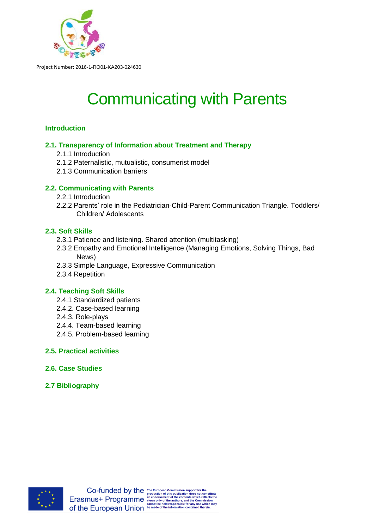

# Communicating with Parents

## **Introduction**

## **2.1. Transparency of Information about Treatment and Therapy**

- 2.1.1 Introduction
- 2.1.2 Paternalistic, mutualistic, consumerist model
- 2.1.3 Communication barriers

## **2.2. Communicating with Parents**

- 2.2.1 Introduction
- 2.2.2 Parents' role in the Pediatrician-Child-Parent Communication Triangle. Toddlers/ Children/ Adolescents

## **2.3. Soft Skills**

- 2.3.1 Patience and listening. Shared attention (multitasking)
- 2.3.2 Empathy and Emotional Intelligence (Managing Emotions, Solving Things, Bad News)
- 2.3.3 Simple Language, Expressive Communication
- 2.3.4 Repetition

## **2.4. Teaching Soft Skills**

- 2.4.1 Standardized patients
- 2.4.2. Case-based learning
- 2.4.3. Role-plays
- 2.4.4. Team-based learning
- 2.4.5. Problem-based learning

## **2.5. Practical activities**

- **2.6. Case Studies**
- **2.7 Bibliography**

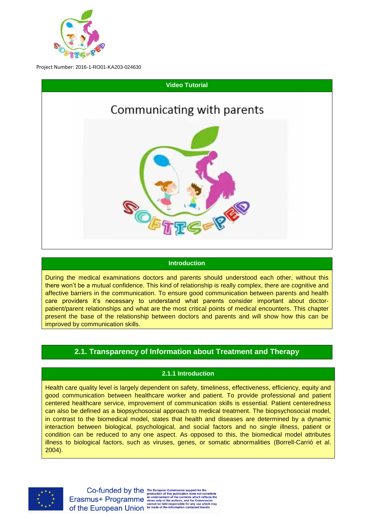



#### **Introduction**

During the medical examinations doctors and parents should understood each other, without this there won't be a mutual confidence. This kind of relationship is really complex, there are cognitive and affective barriers in the communication. To ensure good communication between parents and health care providers it's necessary to understand what parents consider important about doctorpatient/parent relationships and what are the most critical points of medical encounters. This chapter present the base of the relationship between doctors and parents and will show how this can be improved by communication skills.

## **2.1. Transparency of Information about Treatment and Therapy**

## **2.1.1 Introduction**

Health care quality level is largely dependent on safety, timeliness, effectiveness, efficiency, equity and good communication between healthcare worker and patient. To provide professional and patient centered healthcare service, improvement of communication skills is essential. Patient centeredness can also be defined as a biopsychosocial approach to medical treatment. The biopsychosocial model, in contrast to the biomedical model, states that health and diseases are determined by a dynamic interaction between biological, psychological, and social factors and no single illness, patient or condition can be reduced to any one aspect. As opposed to this, the biomedical model attributes illness to biological factors, such as viruses, genes, or somatic abnormalities (Borrell-Carrió et al. 2004).

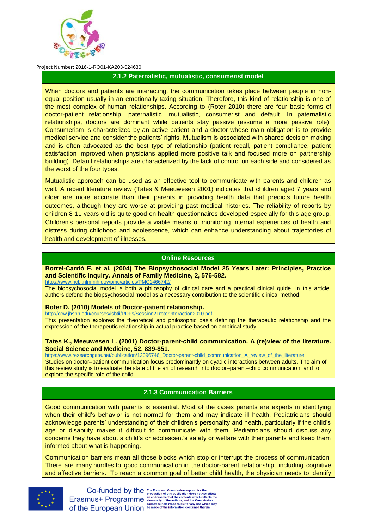

#### **2.1.2 Paternalistic, mutualistic, consumerist model**

When doctors and patients are interacting, the communication takes place between people in nonequal position usually in an emotionally taxing situation. Therefore, this kind of relationship is one of the most complex of human relationships. According to (Roter 2010) there are four basic forms of doctor-patient relationship: paternalistic, mutualistic, consumerist and default. In paternalistic relationships, doctors are dominant while patients stay passive (assume a more passive role). Consumerism is characterized by an active patient and a doctor whose main obligation is to provide medical service and consider the patients' rights. Mutualism is associated with shared decision making and is often advocated as the best type of relationship (patient recall, patient compliance, patient satisfaction improved when physicians applied more positive talk and focused more on partnership building). Default relationships are characterized by the lack of control on each side and considered as the worst of the four types.

Mutualistic approach can be used as an effective tool to communicate with parents and children as well. A recent literature review (Tates & Meeuwesen 2001) indicates that children aged 7 years and older are more accurate than their parents in providing health data that predicts future health outcomes, although they are worse at providing past medical histories. The reliability of reports by children 8-11 years old is quite good on health questionnaires developed especially for this age group. Children's personal reports provide a viable means of monitoring internal experiences of health and distress during childhood and adolescence, which can enhance understanding about trajectories of health and development of illnesses.

#### **Online Resources**

**Borrel-Carrió F. et al. (2004) The Biopsychosocial Model 25 Years Later: Principles, Practice and Scientific Inquiry. Annals of Family Medicine, 2, 576-582.** <https://www.ncbi.nlm.nih.gov/pmc/articles/PMC1466742/>

The biopsychosocial model is both a philosophy of clinical care and a practical clinical guide. In this article, authors defend the biopsychosocial model as a necessary contribution to the scientific clinical method.

#### **Roter D. (2010) Models of Doctor-patient relationship.**

<http://ocw.jhsph.edu/courses/isbtii/PDFs/Session21roterinteraction2010.pdf> This presentation explores the theoretical and philosophic basis defining the therapeutic relationship and the expression of the therapeutic relationship in actual practice based on empirical study

#### **Tates K., Meeuwesen L. (2001) Doctor-parent-child communication. A (re)view of the literature. Social Science and Medicine, 52, 839-851.**

[https://www.researchgate.net/publication/12096746\\_Doctor-parent-child\\_communication\\_A\\_review\\_of\\_the\\_literature](https://www.researchgate.net/publication/12096746_Doctor-parent-child_communication_A_review_of_the_literature) Studies on doctor–patient communication focus predominantly on dyadic interactions between adults. The aim of this review study is to evaluate the state of the art of research into doctor–parent–child communication, and to explore the specific role of the child.

#### **2.1.3 Communication Barriers**

Good communication with parents is essential. Most of the cases parents are experts in identifying when their child's behavior is not normal for them and may indicate ill health. Pediatricians should acknowledge parents' understanding of their children's personality and health, particularly if the child's age or disability makes it difficult to communicate with them. Pediatricians should discuss any concerns they have about a child's or adolescent's safety or welfare with their parents and keep them informed about what is happening.

Communication barriers mean all those blocks which stop or interrupt the process of communication. There are many hurdles to good communication in the doctor-parent relationship, including cognitive and affective barriers. To reach a common goal of better child health, the physician needs to identify



Co-funded by the The European Commission support for the<br>Erasmus+ Programme and order this publication does not constitute<br>Crasmus+ Programme and order of the contents which reflects the<br>commission<br>of the European Union be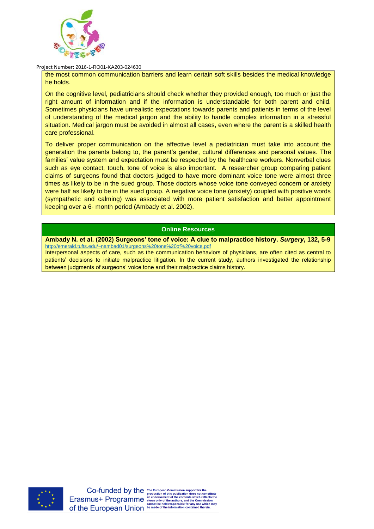

the most common communication barriers and learn certain soft skills besides the medical knowledge he holds.

On the cognitive level, pediatricians should check whether they provided enough, too much or just the right amount of information and if the information is understandable for both parent and child. Sometimes physicians have unrealistic expectations towards parents and patients in terms of the level of understanding of the medical jargon and the ability to handle complex information in a stressful situation. Medical jargon must be avoided in almost all cases, even where the parent is a skilled health care professional.

To deliver proper communication on the affective level a pediatrician must take into account the generation the parents belong to, the parent's gender, cultural differences and personal values. The families' value system and expectation must be respected by the healthcare workers. Nonverbal clues such as eye contact, touch, tone of voice is also important. A researcher group comparing patient claims of surgeons found that doctors judged to have more dominant voice tone were almost three times as likely to be in the sued group. Those doctors whose voice tone conveyed concern or anxiety were half as likely to be in the sued group. A negative voice tone (anxiety) coupled with positive words (sympathetic and calming) was associated with more patient satisfaction and better appointment keeping over a 6- month period (Ambady et al. 2002).

#### **Online Resources**

#### **Ambady N. et al. (2002) Surgeons' tone of voice: A clue to malpractice history.** *Surgery***, 132, 5-9** <http://emerald.tufts.edu/~nambad01/surgeons%20tone%20of%20voice.pdf>

Interpersonal aspects of care, such as the communication behaviors of physicians, are often cited as central to patients' decisions to initiate malpractice litigation. In the current study, authors investigated the relationship between judgments of surgeons' voice tone and their malpractice claims history.

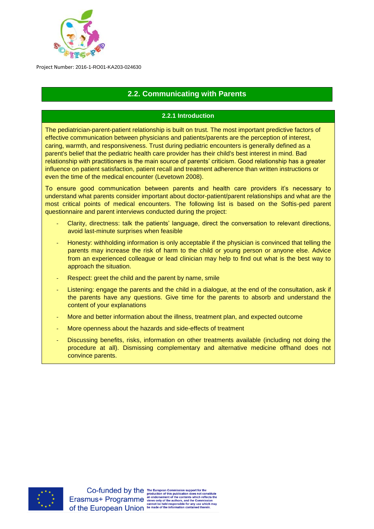

# **2.2. Communicating with Parents**

## **2.2.1 Introduction**

The pediatrician-parent-patient relationship is built on trust. The most important predictive factors of effective communication between physicians and patients/parents are the perception of interest, caring, warmth, and responsiveness. Trust during pediatric encounters is generally defined as a parent's belief that the pediatric health care provider has their child's best interest in mind. Bad relationship with practitioners is the main source of parents' criticism. Good relationship has a greater influence on patient satisfaction, patient recall and treatment adherence than written instructions or even the time of the medical encounter (Levetown 2008).

To ensure good communication between parents and health care providers it's necessary to understand what parents consider important about doctor-patient/parent relationships and what are the most critical points of medical encounters. The following list is based on the Softis-ped parent questionnaire and parent interviews conducted during the project:

- Clarity, directness: talk the patients' language, direct the conversation to relevant directions, avoid last-minute surprises when feasible
- Honesty: withholding information is only acceptable if the physician is convinced that telling the parents may increase the risk of harm to the child or young person or anyone else. Advice from an experienced colleague or lead clinician may help to find out what is the best way to approach the situation.
- Respect: greet the child and the parent by name, smile
- Listening: engage the parents and the child in a dialogue, at the end of the consultation, ask if the parents have any questions. Give time for the parents to absorb and understand the content of your explanations
- More and better information about the illness, treatment plan, and expected outcome
- More openness about the hazards and side-effects of treatment
- Discussing benefits, risks, information on other treatments available (including not doing the procedure at all). Dismissing complementary and alternative medicine offhand does not convince parents.

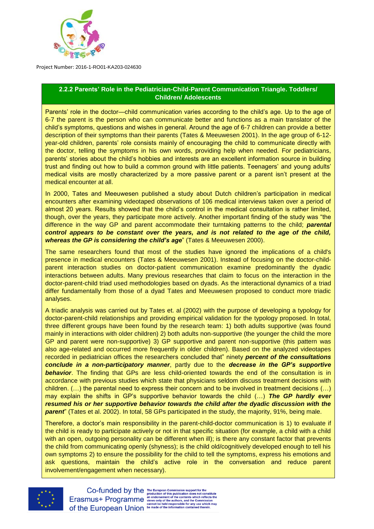

## **2.2.2 Parents' Role in the Pediatrician-Child-Parent Communication Triangle. Toddlers/ Children/ Adolescents**

Parents' role in the doctor—child communication varies according to the child's age. Up to the age of 6-7 the parent is the person who can communicate better and functions as a main translator of the child's symptoms, questions and wishes in general. Around the age of 6-7 children can provide a better description of their symptoms than their parents (Tates & Meeuwesen 2001). In the age group of 6-12 year-old children, parents' role consists mainly of encouraging the child to communicate directly with the doctor, telling the symptoms in his own words, providing help when needed. For pediatricians, parents' stories about the child's hobbies and interests are an excellent information source in building trust and finding out how to build a common ground with little patients. Teenagers' and young adults' medical visits are mostly characterized by a more passive parent or a parent isn't present at the medical encounter at all.

In 2000, Tates and Meeuwesen published a study about Dutch children's participation in medical encounters after examining videotaped observations of 106 medical interviews taken over a period of almost 20 years. Results showed that the child's control in the medical consultation is rather limited, though, over the years, they participate more actively. Another important finding of the study was "the difference in the way GP and parent accommodate their turntaking patterns to the child; *parental control appears to be constant over the years, and is not related to the age of the child, whereas the GP is considering the child's age*" (Tates & Meeuwesen 2000).

The same researchers found that most of the studies have ignored the implications of a child's presence in medical encounters (Tates & Meeuwesen 2001). Instead of focusing on the doctor-childparent interaction studies on doctor-patient communication examine predominantly the dyadic interactions between adults. Many previous researches that claim to focus on the interaction in the doctor-parent-child triad used methodologies based on dyads. As the interactional dynamics of a triad differ fundamentally from those of a dyad Tates and Meeuwesen proposed to conduct more triadic analyses.

A triadic analysis was carried out by Tates et. al (2002) with the purpose of developing a typology for doctor-parent-child relationships and providing empirical validation for the typology proposed. In total, three different groups have been found by the research team: 1) both adults supportive (was found mainly in interactions with older children) 2) both adults non-supportive (the younger the child the more GP and parent were non-supportive) 3) GP supportive and parent non-supportive (this pattern was also age-related and occurred more frequently in older children). Based on the analyzed videotapes recorded in pediatrician offices the researchers concluded that" ninety *percent of the consultations conclude in a non-participatory manner*, partly due to the *decrease in the GP's supportive*  **behavior**. The finding that GPs are less child-oriented towards the end of the consultation is in accordance with previous studies which state that physicians seldom discuss treatment decisions with children. (…) the parental need to express their concern and to be involved in treatment decisions (…) may explain the shifts in GP's supportive behavior towards the child (…) *The GP hardly ever resumed his or her supportive behavior towards the child after the dyadic discussion with the parent*" (Tates et al. 2002). In total, 58 GPs participated in the study, the majority, 91%, being male.

Therefore, a doctor's main responsibility in the parent-child-doctor communication is 1) to evaluate if the child is ready to participate actively or not in that specific situation (for example, a child with a child with an open, outgoing personality can be different when ill); is there any constant factor that prevents the child from communicating openly (shyness); is the child old/cognitively developed enough to tell his own symptoms 2) to ensure the possibility for the child to tell the symptoms, express his emotions and ask questions, maintain the child's active role in the conversation and reduce parent involvement/engagement when necessary).

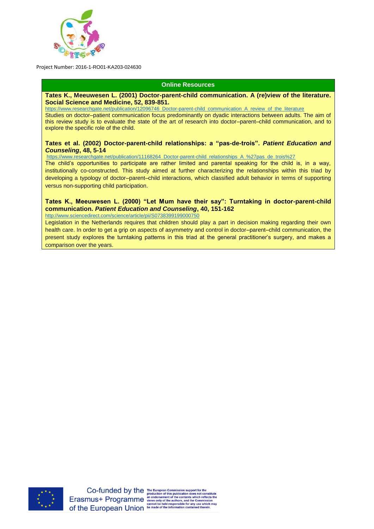

#### **Online Resources**

#### **Tates K., Meeuwesen L. (2001) Doctor-parent-child communication. A (re)view of the literature. Social Science and Medicine, 52, 839-851.**

[https://www.researchgate.net/publication/12096746\\_Doctor-parent-child\\_communication\\_A\\_review\\_of\\_the\\_literature](https://www.researchgate.net/publication/12096746_Doctor-parent-child_communication_A_review_of_the_literature) Studies on doctor–patient communication focus predominantly on dyadic interactions between adults. The aim of this review study is to evaluate the state of the art of research into doctor–parent–child communication, and to explore the specific role of the child.

#### **Tates et al. (2002) Doctor-parent-child relationships: a "pas-de-trois".** *Patient Education and Counseling***, 48, 5-14**

[https://www.researchgate.net/publication/11168264\\_Doctor-parent-child\\_relationships\\_A\\_%27pas\\_de\\_trois%27](https://www.researchgate.net/publication/11168264_Doctor-parent-child_relationships_A_%27pas_de_trois%27)

The child's opportunities to participate are rather limited and parental speaking for the child is, in a way, institutionally co-constructed. This study aimed at further characterizing the relationships within this triad by developing a typology of doctor–parent–child interactions, which classified adult behavior in terms of supporting versus non-supporting child participation.

#### **Tates K., Meeuwesen L. (2000) "Let Mum have their say": Turntaking in doctor-parent-child communication.** *Patient Education and Counseling***, 40, 151-162** <http://www.sciencedirect.com/science/article/pii/S0738399199000750>

Legislation in the Netherlands requires that children should play a part in decision making regarding their own health care. In order to get a grip on aspects of asymmetry and control in doctor–parent–child communication, the present study explores the turntaking patterns in this triad at the general practitioner's surgery, and makes a comparison over the years.

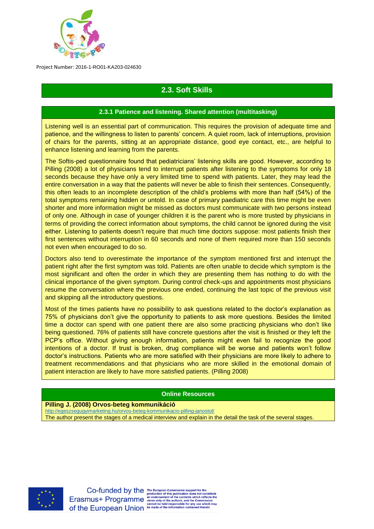

# **2.3. Soft Skills**

## **2.3.1 Patience and listening. Shared attention (multitasking)**

Listening well is an essential part of communication. This requires the provision of adequate time and patience, and the willingness to listen to parents' concern. A quiet room, lack of interruptions, provision of chairs for the parents, sitting at an appropriate distance, good eye contact, etc., are helpful to enhance listening and learning from the parents.

The Softis-ped questionnaire found that pediatricians' listening skills are good. However, according to Pilling (2008) a lot of physicians tend to interrupt patients after listening to the symptoms for only 18 seconds because they have only a very limited time to spend with patients. Later, they may lead the entire conversation in a way that the patients will never be able to finish their sentences. Consequently, this often leads to an incomplete description of the child's problems with more than half (54%) of the total symptoms remaining hidden or untold. In case of primary paediatric care this time might be even shorter and more information might be missed as doctors must communicate with two persons instead of only one. Although in case of younger children it is the parent who is more trusted by physicians in terms of providing the correct information about symptoms, the child cannot be ignored during the visit either. Listening to patients doesn't require that much time doctors suppose: most patients finish their first sentences without interruption in 60 seconds and none of them required more than 150 seconds not even when encouraged to do so.

Doctors also tend to overestimate the importance of the symptom mentioned first and interrupt the patient right after the first symptom was told. Patients are often unable to decide which symptom is the most significant and often the order in which they are presenting them has nothing to do with the clinical importance of the given symptom. During control check-ups and appointments most physicians resume the conversation where the previous one ended, continuing the last topic of the previous visit and skipping all the introductory questions.

Most of the times patients have no possibility to ask questions related to the doctor's explanation as 75% of physicians don't give the opportunity to patients to ask more questions. Besides the limited time a doctor can spend with one patient there are also some practicing physicians who don't like being questioned. 76% of patients still have concrete questions after the visit is finished or they left the PCP's office. Without giving enough information, patients might even fail to recognize the good intentions of a doctor. If trust is broken, drug compliance will be worse and patients won't follow doctor's instructions. Patients who are more satisfied with their physicians are more likely to adhere to treatment recommendations and that physicians who are more skilled in the emotional domain of patient interaction are likely to have more satisfied patients. (Pilling 2008)

#### **Online Resources**

**Pilling J. (2008) Orvos-beteg kommunikáció** 

<http://egeszsegugyimarketing.hu/orvos-beteg-kommunikacio-pilling-janostol/>

The author present the stages of a medical interview and explain in the detail the task of the several stages.

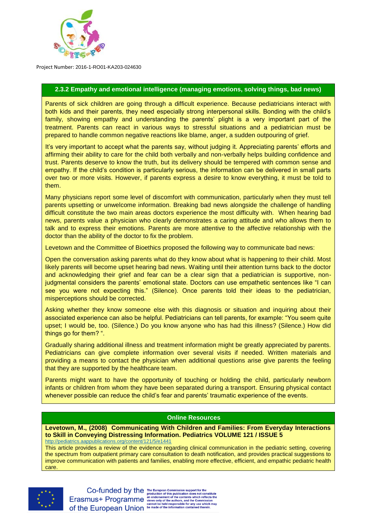

## **2.3.2 Empathy and emotional intelligence (managing emotions, solving things, bad news)**

Parents of sick children are going through a difficult experience. Because pediatricians interact with both kids and their parents, they need especially strong interpersonal skills. Bonding with the child's family, showing empathy and understanding the parents' plight is a very important part of the treatment. Parents can react in various ways to stressful situations and a pediatrician must be prepared to handle common negative reactions like blame, anger, a sudden outpouring of grief.

It's very important to accept what the parents say, without judging it. Appreciating parents' efforts and affirming their ability to care for the child both verbally and non-verbally helps building confidence and trust. Parents deserve to know the truth, but its delivery should be tempered with common sense and empathy. If the child's condition is particularly serious, the information can be delivered in small parts over two or more visits. However, if parents express a desire to know everything, it must be told to them.

Many physicians report some level of discomfort with communication, particularly when they must tell parents upsetting or unwelcome information. Breaking bad news alongside the challenge of handling difficult constitute the two main areas doctors experience the most difficulty with. When hearing bad news, parents value a physician who clearly demonstrates a caring attitude and who allows them to talk and to express their emotions. Parents are more attentive to the affective relationship with the doctor than the ability of the doctor to fix the problem.

Levetown and the Committee of Bioethics proposed the following way to communicate bad news:

Open the conversation asking parents what do they know about what is happening to their child. Most likely parents will become upset hearing bad news. Waiting until their attention turns back to the doctor and acknowledging their grief and fear can be a clear sign that a pediatrician is supportive, nonjudgmental considers the parents' emotional state. Doctors can use empathetic sentences like "I can see you were not expecting this." (Silence). Once parents told their ideas to the pediatrician, misperceptions should be corrected.

Asking whether they know someone else with this diagnosis or situation and inquiring about their associated experience can also be helpful. Pediatricians can tell parents, for example: "You seem quite upset; I would be, too. (Silence.) Do you know anyone who has had this illness? (Silence.) How did things go for them? ".

Gradually sharing additional illness and treatment information might be greatly appreciated by parents. Pediatricians can give complete information over several visits if needed. Written materials and providing a means to contact the physician when additional questions arise give parents the feeling that they are supported by the healthcare team.

Parents might want to have the opportunity of touching or holding the child, particularly newborn infants or children from whom they have been separated during a transport. Ensuring physical contact whenever possible can reduce the child's fear and parents' traumatic experience of the events.

#### **Online Resources**

**Levetown, M., (2008) Communicating With Children and Families: From Everyday Interactions to Skill in Conveying Distressing Information. Pediatrics [VOLUME 121 / ISSUE 5](http://pediatrics.aappublications.org/content/121/5)** <http://pediatrics.aappublications.org/content/121/5/e1441>

This article provides a review of the evidence regarding clinical communication in the pediatric setting, covering the spectrum from outpatient primary care consultation to death notification, and provides practical suggestions to improve communication with patients and families, enabling more effective, efficient, and empathic pediatric health care.

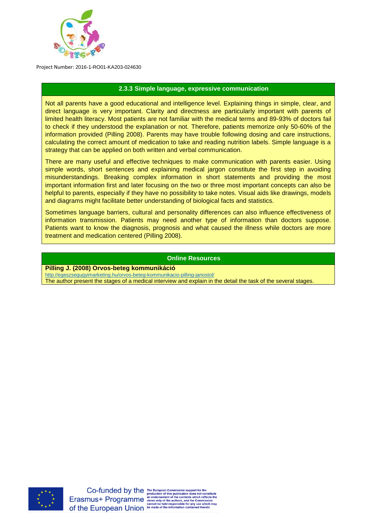

#### **2.3.3 Simple language, expressive communication**

Not all parents have a good educational and intelligence level. Explaining things in simple, clear, and direct language is very important. Clarity and directness are particularly important with parents of limited health literacy. Most patients are not familiar with the medical terms and 89-93% of doctors fail to check if they understood the explanation or not. Therefore, patients memorize only 50-60% of the information provided (Pilling 2008). Parents may have trouble following dosing and care instructions, calculating the correct amount of medication to take and reading nutrition labels. Simple language is a strategy that can be applied on both written and verbal communication.

There are many useful and effective techniques to make communication with parents easier. Using simple words, short sentences and explaining medical jargon constitute the first step in avoiding misunderstandings. Breaking complex information in short statements and providing the most important information first and later focusing on the two or three most important concepts can also be helpful to parents, especially if they have no possibility to take notes. Visual aids like drawings, models and diagrams might facilitate better understanding of biological facts and statistics.

Sometimes language barriers, cultural and personality differences can also influence effectiveness of information transmission. Patients may need another type of information than doctors suppose. Patients want to know the diagnosis, prognosis and what caused the illness while doctors are more treatment and medication centered (Pilling 2008).

#### **Online Resources**

**Pilling J. (2008) Orvos-beteg kommunikáció** 

<http://egeszsegugyimarketing.hu/orvos-beteg-kommunikacio-pilling-janostol/>

The author present the stages of a medical interview and explain in the detail the task of the several stages.

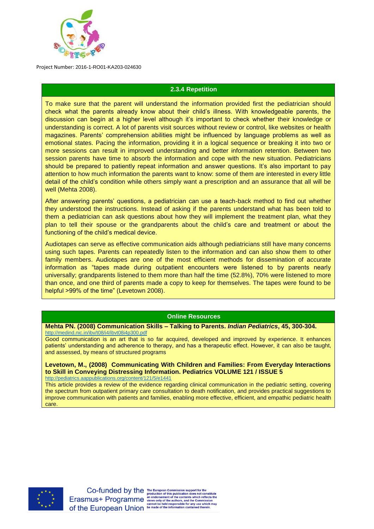

## **2.3.4 Repetition**

To make sure that the parent will understand the information provided first the pediatrician should check what the parents already know about their child's illness. With knowledgeable parents, the discussion can begin at a higher level although it's important to check whether their knowledge or understanding is correct. A lot of parents visit sources without review or control, like websites or health magazines. Parents' comprehension abilities might be influenced by language problems as well as emotional states. Pacing the information, providing it in a logical sequence or breaking it into two or more sessions can result in improved understanding and better information retention. Between two session parents have time to absorb the information and cope with the new situation. Pediatricians should be prepared to patiently repeat information and answer questions. It's also important to pay attention to how much information the parents want to know: some of them are interested in every little detail of the child's condition while others simply want a prescription and an assurance that all will be well (Mehta 2008).

After answering parents' questions, a pediatrician can use a teach-back method to find out whether they understood the instructions. Instead of asking if the parents understand what has been told to them a pediatrician can ask questions about how they will implement the treatment plan, what they plan to tell their spouse or the grandparents about the child's care and treatment or about the functioning of the child's medical device.

Audiotapes can serve as effective communication aids although pediatricians still have many concerns using such tapes. Parents can repeatedly listen to the information and can also show them to other family members. Audiotapes are one of the most efficient methods for dissemination of accurate information as "tapes made during outpatient encounters were listened to by parents nearly universally; grandparents listened to them more than half the time (52.8%), 70% were listened to more than once, and one third of parents made a copy to keep for themselves. The tapes were found to be helpful >99% of the time" (Levetown 2008).

#### **Online Resources**

**Mehta PN. (2008) Communication Skills – Talking to Parents.** *Indian Pediatrics***, 45, 300-304.**

<http://medind.nic.in/ibv/t08/i4/ibvt08i4p300.pdf> Good communication is an art that is so far acquired, developed and improved by experience. It enhances patients' understanding and adherence to therapy, and has a therapeutic effect. However, it can also be taught, and assessed, by means of structured programs

**Levetown, M., (2008) Communicating With Children and Families: From Everyday Interactions to Skill in Conveying Distressing Information. Pediatrics [VOLUME 121 / ISSUE 5](http://pediatrics.aappublications.org/content/121/5)** <http://pediatrics.aappublications.org/content/121/5/e1441>

This article provides a review of the evidence regarding clinical communication in the pediatric setting, covering the spectrum from outpatient primary care consultation to death notification, and provides practical suggestions to improve communication with patients and families, enabling more effective, efficient, and empathic pediatric health care.

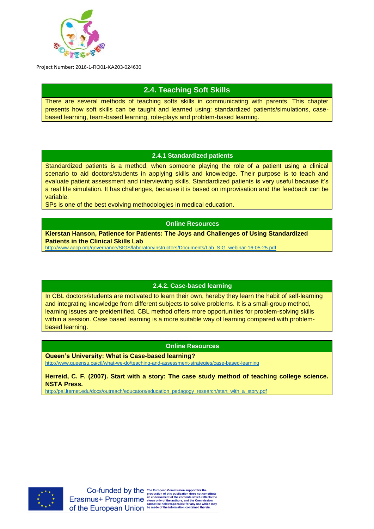

# **2.4. Teaching Soft Skills**

There are several methods of teaching softs skills in communicating with parents. This chapter presents how soft skills can be taught and learned using: standardized patients/simulations, casebased learning, team-based learning, role-plays and problem-based learning.

## **2.4.1 Standardized patients**

Standardized patients is a method, when someone playing the role of a patient using a clinical scenario to aid doctors/students in applying skills and knowledge. Their purpose is to teach and evaluate patient assessment and interviewing skills. Standardized patients is very useful because it's a real life simulation. It has challenges, because it is based on improvisation and the feedback can be variable.

SPs is one of the best evolving methodologies in medical education.

## **Online Resources**

**Kierstan Hanson, Patience for Patients: The Joys and Challenges of Using Standardized Patients in the Clinical Skills Lab** 

[http://www.aacp.org/governance/SIGS/laboratoryinstructors/Documents/Lab\\_SIG\\_webinar-16-05-25.pdf](http://www.aacp.org/governance/SIGS/laboratoryinstructors/Documents/Lab_SIG_webinar-16-05-25.pdf)

#### **2.4.2. Case-based learning**

In CBL doctors/students are motivated to learn their own, hereby they learn the habit of self-learning and integrating knowledge from different subjects to solve problems. It is a small-group method, learning issues are preidentified. CBL method offers more opportunities for problem-solving skills within a session. Case based learning is a more suitable way of learning compared with problembased learning.

#### **Online Resources**

**Queen's University: What is Case-based learning?**

<http://www.queensu.ca/ctl/what-we-do/teaching-and-assessment-strategies/case-based-learning>

**Herreid, C. F. (2007). Start with a story: The case study method of teaching college science. NSTA Press.**

[http://pal.lternet.edu/docs/outreach/educators/education\\_pedagogy\\_research/start\\_with\\_a\\_story.pdf](http://pal.lternet.edu/docs/outreach/educators/education_pedagogy_research/start_with_a_story.pdf)

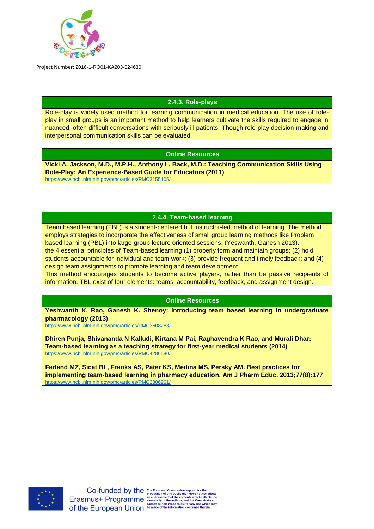

## **2.4.3. Role-plays**

Role-play is widely used method for learning communication in medical education. The use of roleplay in small groups is an important method to help learners cultivate the skills required to engage in nuanced, often difficult conversations with seriously ill patients. Though role-play decision-making and interpersonal communication skills can be evaluated.

## **Online Resources**

**[Vicki A. Jackson,](https://www.ncbi.nlm.nih.gov/pubmed/?term=Jackson%20VA%5BAuthor%5D&cauthor=true&cauthor_uid=21651366) M.D., M.P.H., [Anthony L. Back,](https://www.ncbi.nlm.nih.gov/pubmed/?term=Back%20AL%5BAuthor%5D&cauthor=true&cauthor_uid=21651366) M.D.: Teaching Communication Skills Using Role-Play: An Experience-Based Guide for Educators (2011)** <https://www.ncbi.nlm.nih.gov/pmc/articles/PMC3155105/>

## **2.4.4. Team-based learning**

Team based learning (TBL) is a student-centered but instructor-led method of learning. The method employs strategies to incorporate the effectiveness of small group learning methods like Problem based learning (PBL) into large-group lecture oriented sessions. (Yeswanth, Ganesh 2013). the 4 essential principles of Team-based learning (1) properly form and maintain groups; (2) hold students accountable for individual and team work; (3) provide frequent and timely feedback; and (4) design team assignments to promote learning and team development This method encourages students to become active players, rather than be passive recipients of information. TBL exist of four elements: teams, accountability, feedback, and assignment design.

#### **Online Resources**

**[Yeshwanth K. Rao,](https://www.ncbi.nlm.nih.gov/pubmed/?term=Rao%20YK%5BAuthor%5D&cauthor=true&cauthor_uid=23543942) [Ganesh K. Shenoy:](https://www.ncbi.nlm.nih.gov/pubmed/?term=Shenoy%20GK%5BAuthor%5D&cauthor=true&cauthor_uid=23543942) Introducing team based learning in undergraduate pharmacology (2013)**

<https://www.ncbi.nlm.nih.gov/pmc/articles/PMC3608283/>

**[Dhiren Punja,](https://www.ncbi.nlm.nih.gov/pubmed/?term=Punja%20D%5BAuthor%5D&cauthor=true&cauthor_uid=25646125) [Shivananda N Kalludi,](https://www.ncbi.nlm.nih.gov/pubmed/?term=Kalludi%20SN%5BAuthor%5D&cauthor=true&cauthor_uid=25646125) [Kirtana M Pai,](https://www.ncbi.nlm.nih.gov/pubmed/?term=Pai%20KM%5BAuthor%5D&cauthor=true&cauthor_uid=25646125) [Raghavendra K Rao,](https://www.ncbi.nlm.nih.gov/pubmed/?term=Rao%20RK%5BAuthor%5D&cauthor=true&cauthor_uid=25646125) and [Murali Dhar:](https://www.ncbi.nlm.nih.gov/pubmed/?term=Dhar%20M%5BAuthor%5D&cauthor=true&cauthor_uid=25646125) Team-based learning as a teaching strategy for first-year medical students (2014)** <https://www.ncbi.nlm.nih.gov/pmc/articles/PMC4286580/>

**Farland MZ, Sicat BL, Franks AS, Pater KS, Medina MS, Persky AM. Best practices for implementing team-based learning in pharmacy education. Am J Pharm Educ. 2013;77(8):177** <https://www.ncbi.nlm.nih.gov/pmc/articles/PMC3806961/>

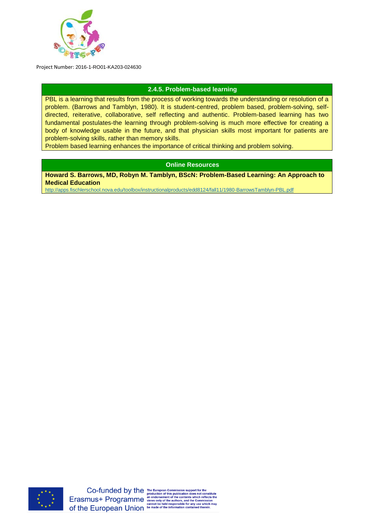

## **2.4.5. Problem-based learning**

PBL is a learning that results from the process of working towards the understanding or resolution of a problem. (Barrows and Tamblyn, 1980). It is student-centred, problem based, problem-solving, selfdirected, reiterative, collaborative, self reflecting and authentic. Problem-based learning has two fundamental postulates-the learning through problem-solving is much more effective for creating a body of knowledge usable in the future, and that physician skills most important for patients are problem-solving skills, rather than memory skills.

Problem based learning enhances the importance of critical thinking and problem solving.

## **Online Resources**

**[Howard S. Barrows, MD,](https://www.google.hu/search?hl=hu&tbo=p&tbm=bks&q=inauthor:%22Howard+S.+Barrows,+MD%22) [Robyn M. Tamblyn, BScN:](https://www.google.hu/search?hl=hu&tbo=p&tbm=bks&q=inauthor:%22Robyn+M.+Tamblyn,+BScN%22) Problem-Based Learning: An Approach to Medical Education**

<http://apps.fischlerschool.nova.edu/toolbox/instructionalproducts/edd8124/fall11/1980-BarrowsTamblyn-PBL.pdf>

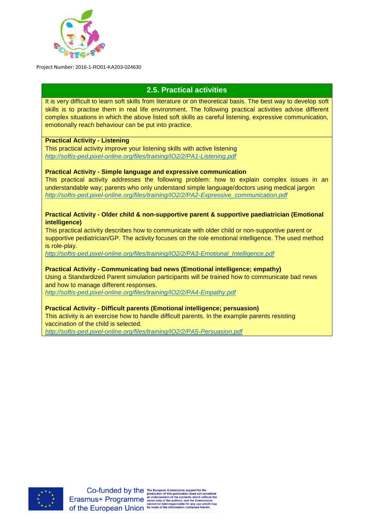

# **2.5. Practical activities**

It is very difficult to learn soft skills from literature or on theoretical basis. The best way to develop soft skills is to practise them in real life environment. The following practical activities advise different complex situations in which the above listed soft skills as careful listening, expressive communication, emotionally reach behaviour can be put into practice.

## **Practical Activity - Listening**

This practical activity improve your listening skills with active listening *<http://softis-ped.pixel-online.org/files/training/IO2/2/PA1-Listening.pdf>*

## **Practical Activity - Simple language and expressive communication**

This practical activity addresses the following problem: how to explain complex issues in an understandable way; parents who only understand simple language/doctors using medical jargon *[http://softis-ped.pixel-online.org/files/training/IO2/2/PA2-Expressive\\_communication.pdf](http://softis-ped.pixel-online.org/files/training/IO2/2/PA2-Expressive_communication.pdf)*

#### **Practical Activity - Older child & non-supportive parent & supportive paediatrician (Emotional intelligence)**

This practical activity describes how to communicate with older child or non-supportive parent or supportive pediatrician/GP. The activity focuses on the role emotional intelligence. The used method is role-play.

*[http://softis-ped.pixel-online.org/files/training/IO2/2/PA3-Emotional\\_Intelligence.pdf](http://softis-ped.pixel-online.org/files/training/IO2/2/PA3-Emotional_Intelligence.pdf)*

## **Practical Activity - Communicating bad news (Emotional intelligence; empathy)**

Using a Standardized Parent simulation participants will be trained how to communicate bad news and how to manage different responses.

*<http://softis-ped.pixel-online.org/files/training/IO2/2/PA4-Empathy.pdf>*

#### **Practical Activity - Difficult parents (Emotional intelligence; persuasion)**

This activity is an exercise how to handle difficult parents. In the example parents resisting vaccination of the child is selected.

*<http://softis-ped.pixel-online.org/files/training/IO2/2/PA5-Persuasion.pdf>*

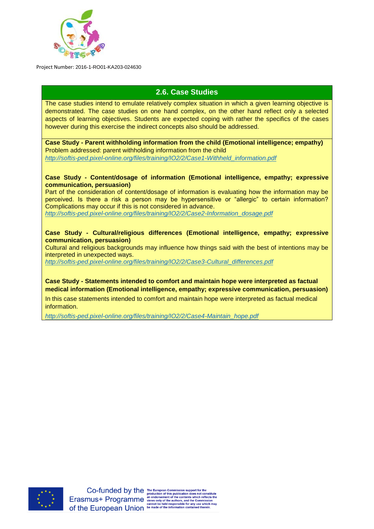

# **2.6. Case Studies**

The case studies intend to emulate relatively complex situation in which a given learning objective is demonstrated. The case studies on one hand complex, on the other hand reflect only a selected aspects of learning objectives. Students are expected coping with rather the specifics of the cases however during this exercise the indirect concepts also should be addressed.

**Case Study - Parent withholding information from the child (Emotional intelligence; empathy)** Problem addressed: parent withholding information from the child *[http://softis-ped.pixel-online.org/files/training/IO2/2/Case1-Withheld\\_information.pdf](http://softis-ped.pixel-online.org/files/training/IO2/2/Case1-Withheld_information.pdf)*

#### **Case Study - Content/dosage of information (Emotional intelligence, empathy; expressive communication, persuasion)**

Part of the consideration of content/dosage of information is evaluating how the information may be perceived. Is there a risk a person may be hypersensitive or "allergic" to certain information? Complications may occur if this is not considered in advance. *[http://softis-ped.pixel-online.org/files/training/IO2/2/Case2-Information\\_dosage.pdf](http://softis-ped.pixel-online.org/files/training/IO2/2/Case2-Information_dosage.pdf)*

**Case Study - Cultural/religious differences (Emotional intelligence, empathy; expressive** 

**communication, persuasion)** Cultural and religious backgrounds may influence how things said with the best of intentions may be interpreted in unexpected ways.

*[http://softis-ped.pixel-online.org/files/training/IO2/2/Case3-Cultural\\_differences.pdf](http://softis-ped.pixel-online.org/files/training/IO2/2/Case3-Cultural_differences.pdf)*

**Case Study - Statements intended to comfort and maintain hope were interpreted as factual medical information (Emotional intelligence, empathy; expressive communication, persuasion)**

In this case statements intended to comfort and maintain hope were interpreted as factual medical information.

*[http://softis-ped.pixel-online.org/files/training/IO2/2/Case4-Maintain\\_hope.pdf](http://softis-ped.pixel-online.org/files/training/IO2/2/Case4-Maintain_hope.pdf)*